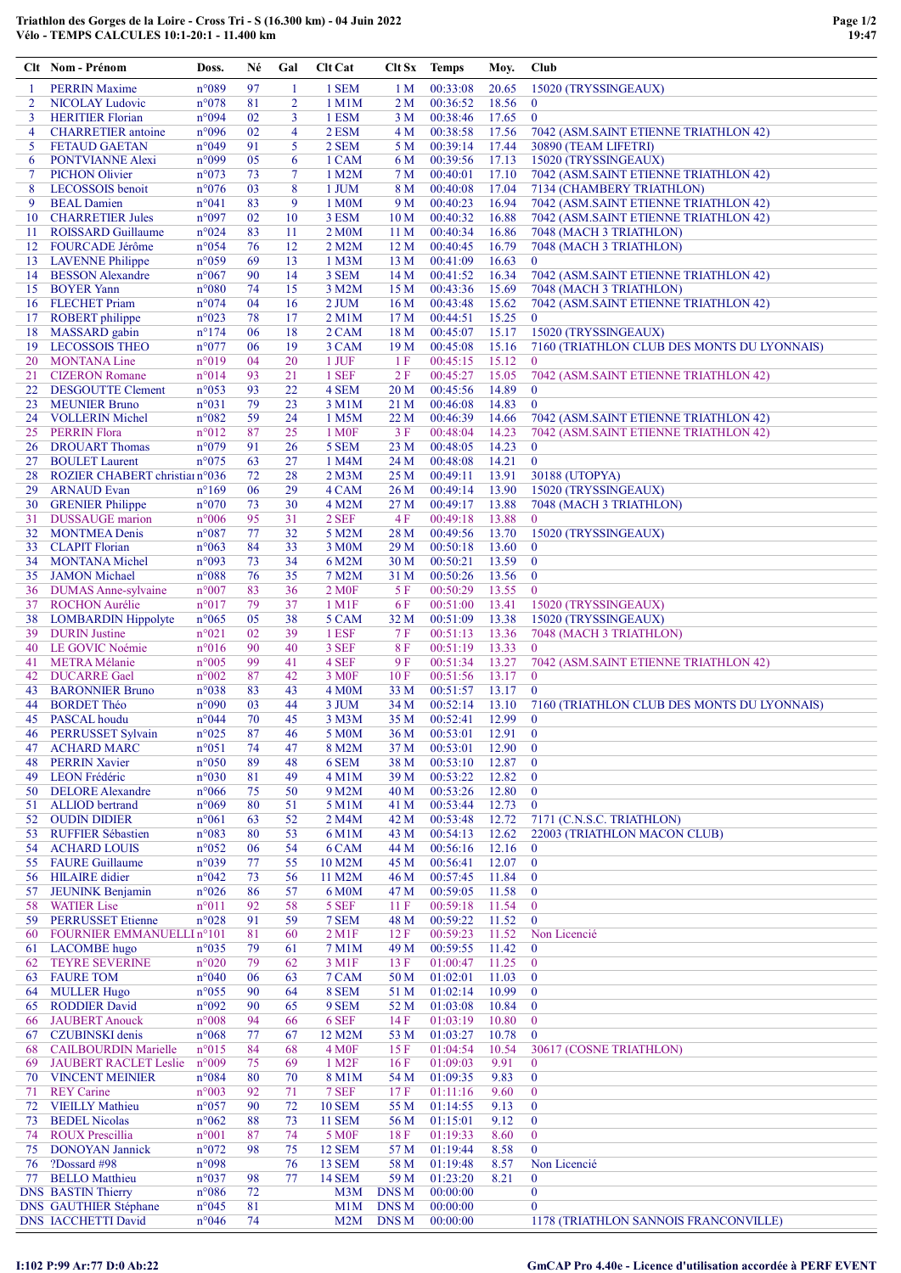|          | Clt Nom - Prénom                                       | Doss.                            | Né       | Gal            | <b>Clt Cat</b>                       | Clt Sx                             | Temps                | Moy.           | Club                                                          |
|----------|--------------------------------------------------------|----------------------------------|----------|----------------|--------------------------------------|------------------------------------|----------------------|----------------|---------------------------------------------------------------|
| -1       | <b>PERRIN Maxime</b>                                   | n°089                            | 97       | $\mathbf{1}$   | 1 SEM                                | 1 <sub>M</sub>                     | 00:33:08             | 20.65          | 15020 (TRYSSINGEAUX)                                          |
| 2        | <b>NICOLAY Ludovic</b>                                 | n°078                            | 81       | $\overline{2}$ | 1 M1M                                | 2 M                                | 00:36:52             | 18.56          | $\bf{0}$                                                      |
| 3        | <b>HERITIER Florian</b>                                | n°094                            | 02       | 3              | 1 ESM                                | 3 M                                | 00:38:46             | 17.65          | $\bf{0}$                                                      |
| 4<br>5   | <b>CHARRETIER</b> antoine<br><b>FETAUD GAETAN</b>      | n°096<br>n°049                   | 02<br>91 | 4<br>5         | 2 ESM<br>2 SEM                       | 4 M<br>5 M                         | 00:38:58<br>00:39:14 | 17.56<br>17.44 | 7042 (ASM.SAINT ETIENNE TRIATHLON 42)<br>30890 (TEAM LIFETRI) |
| 6        | PONTVIANNE Alexi                                       | n°099                            | 05       | 6              | 1 CAM                                | 6 M                                | 00:39:56             | 17.13          | 15020 (TRYSSINGEAUX)                                          |
| 7        | <b>PICHON Olivier</b>                                  | n°073                            | 73       | $\tau$         | 1 M2M                                | 7 M                                | 00:40:01             | 17.10          | 7042 (ASM.SAINT ETIENNE TRIATHLON 42)                         |
| 8        | LECOSSOIS benoit                                       | n°076                            | 03       | 8              | 1 JUM                                | 8 M                                | 00:40:08             | 17.04          | 7134 (CHAMBERY TRIATHLON)                                     |
| 9        | <b>BEAL</b> Damien                                     | n°041                            | 83       | 9              | 1 M <sub>0</sub> M                   | 9 M                                | 00:40:23             | 16.94          | 7042 (ASM.SAINT ETIENNE TRIATHLON 42)                         |
| 10       | <b>CHARRETIER Jules</b>                                | n°097                            | 02       | 10             | 3 ESM                                | 10 <sub>M</sub>                    | 00:40:32             | 16.88          | 7042 (ASM.SAINT ETIENNE TRIATHLON 42)                         |
| 11       | <b>ROISSARD Guillaume</b>                              | n°024                            | 83       | 11             | 2 M <sub>0</sub> M                   | 11 <sub>M</sub>                    | 00:40:34             | 16.86          | 7048 (MACH 3 TRIATHLON)                                       |
| 12<br>13 | FOURCADE Jérôme<br><b>LAVENNE</b> Philippe             | n°054<br>n°059                   | 76<br>69 | 12<br>13       | 2 M2M<br>1 M <sub>3</sub> M          | 12 <sub>M</sub><br>13 <sub>M</sub> | 00:40:45<br>00:41:09 | 16.79<br>16.63 | 7048 (MACH 3 TRIATHLON)<br>$\mathbf{0}$                       |
| 14       | <b>BESSON Alexandre</b>                                | $n^{\circ}067$                   | 90       | 14             | 3 SEM                                | 14 M                               | 00:41:52             | 16.34          | 7042 (ASM.SAINT ETIENNE TRIATHLON 42)                         |
| 15       | <b>BOYER Yann</b>                                      | $n^{\circ}080$                   | 74       | 15             | 3 M2M                                | 15 M                               | 00:43:36             | 15.69          | 7048 (MACH 3 TRIATHLON)                                       |
|          | 16 FLECHET Priam                                       | n°074                            | 04       | 16             | $2$ JUM                              | 16 <sub>M</sub>                    | 00:43:48             | 15.62          | 7042 (ASM.SAINT ETIENNE TRIATHLON 42)                         |
| 17       | <b>ROBERT</b> philippe                                 | $n^{\circ}023$                   | 78       | 17             | 2 M1M                                | 17 <sub>M</sub>                    | 00:44:51             | 15.25          | $\overline{0}$                                                |
| 18       | MASSARD gabin                                          | $n^{\circ}174$                   | 06       | 18             | 2 CAM                                | 18 <sub>M</sub>                    | 00:45:07             | 15.17          | 15020 (TRYSSINGEAUX)                                          |
| 20       | 19 LECOSSOIS THEO<br><b>MONTANA Line</b>               | n°077<br>n°019                   | 06<br>04 | 19<br>20       | 3 CAM<br>1 JUF                       | 19 <sub>M</sub><br>1 F             | 00:45:08<br>00:45:15 | 15.16<br>15.12 | 7160 (TRIATHLON CLUB DES MONTS DU LYONNAIS)<br>$\mathbf{0}$   |
| 21       | <b>CIZERON Romane</b>                                  | n°014                            | 93       | 21             | 1 SEF                                | 2 F                                | 00:45:27             | 15.05          | 7042 (ASM.SAINT ETIENNE TRIATHLON 42)                         |
| 22       | <b>DESGOUTTE Clement</b>                               | n°053                            | 93       | 22             | 4 SEM                                | 20 <sub>M</sub>                    | 00:45:56             | 14.89          | $\bf{0}$                                                      |
| 23       | <b>MEUNIER Bruno</b>                                   | n°031                            | 79       | 23             | 3 M1M                                | 21 M                               | 00:46:08             | 14.83          | $\mathbf{0}$                                                  |
| 24       | <b>VOLLERIN</b> Michel                                 | n°082                            | 59       | 24             | 1 M5M                                | 22 M                               | 00:46:39             | 14.66          | 7042 (ASM.SAINT ETIENNE TRIATHLON 42)                         |
| 25       | <b>PERRIN Flora</b>                                    | $n^{\circ}012$                   | 87       | 25             | 1 M <sub>OF</sub>                    | 3F                                 | 00:48:04             | 14.23          | 7042 (ASM.SAINT ETIENNE TRIATHLON 42)                         |
|          | 26 DROUART Thomas                                      | n°079                            | 91       | 26             | 5 SEM                                | 23 M                               | 00:48:05             | 14.23          | $\bf{0}$                                                      |
| 27       | <b>BOULET</b> Laurent<br>ROZIER CHABERT christiann°036 | $n^{\circ}075$                   | 63<br>72 | 27<br>28       | 1 M4M                                | 24 M<br>25 M                       | 00:48:08<br>00:49:11 | 14.21<br>13.91 | $\mathbf{0}$<br>30188 (UTOPYA)                                |
| 28<br>29 | <b>ARNAUD Evan</b>                                     | $n^{\circ}169$                   | 06       | 29             | 2 M <sub>3</sub> M<br>4 CAM          | 26 M                               | 00:49:14             | 13.90          | 15020 (TRYSSINGEAUX)                                          |
| 30       | <b>GRENIER Philippe</b>                                | $n^{\circ}070$                   | 73       | 30             | 4 M2M                                | 27 M                               | 00:49:17             | 13.88          | 7048 (MACH 3 TRIATHLON)                                       |
| 31       | DUSSAUGE marion                                        | $n^{\circ}006$                   | 95       | 31             | 2 SEF                                | 4F                                 | 00:49:18             | 13.88          | $\overline{0}$                                                |
| 32       | <b>MONTMEA Denis</b>                                   | n°087                            | 77       | 32             | 5 M2M                                | 28 M                               | 00:49:56             | 13.70          | 15020 (TRYSSINGEAUX)                                          |
| 33       | <b>CLAPIT Florian</b>                                  | n°063                            | 84       | 33             | 3 M0M                                | 29 M                               | 00:50:18             | 13.60          | $\mathbf{0}$                                                  |
| 34       | <b>MONTANA Michel</b>                                  | n°093                            | 73       | 34             | 6 M2M                                | 30 M                               | 00:50:21             | 13.59          | $\bf{0}$                                                      |
| 35<br>36 | <b>JAMON</b> Michael                                   | $n^{\circ}088$<br>$n^{\circ}007$ | 76<br>83 | 35<br>36       | 7 M2M                                | 31 M<br>5F                         | 00:50:26<br>00:50:29 | 13.56<br>13.55 | $\bf{0}$<br>$\bf{0}$                                          |
| 37       | <b>DUMAS</b> Anne-sylvaine<br><b>ROCHON</b> Aurélie    | $n^{\circ}017$                   | 79       | 37             | 2 M <sub>OF</sub><br>$1 \text{ M1F}$ | 6 F                                | 00:51:00             | 13.41          | 15020 (TRYSSINGEAUX)                                          |
| 38       | <b>LOMBARDIN Hippolyte</b>                             | $n^{\circ}065$                   | 05       | 38             | 5 CAM                                | 32 M                               | 00:51:09             | 13.38          | 15020 (TRYSSINGEAUX)                                          |
| 39       | <b>DURIN</b> Justine                                   | $n^{\circ}021$                   | 02       | 39             | 1 ESF                                | 7 F                                | 00:51:13             | 13.36          | 7048 (MACH 3 TRIATHLON)                                       |
| 40       | LE GOVIC Noémie                                        | $n^{\circ}016$                   | 90       | 40             | 3 SEF                                | 8F                                 | 00:51:19             | 13.33          | $\mathbf{0}$                                                  |
| 41       | <b>METRA Mélanie</b>                                   | $n^{\circ}005$                   | 99       | 41             | 4 SEF                                | 9 F                                | 00:51:34             | 13.27          | 7042 (ASM.SAINT ETIENNE TRIATHLON 42)                         |
| 42       | <b>DUCARRE</b> Gael                                    | $n^{\circ}002$                   | 87       | 42             | 3 M <sub>OF</sub>                    | 10F                                | 00:51:56             | 13.17          | $\overline{0}$                                                |
| 43<br>44 | <b>BARONNIER Bruno</b><br><b>BORDET Théo</b>           | n°038<br>n°090                   | 83<br>03 | 43<br>44       | 4 M <sub>0</sub> M<br>3 JUM          | 33 M<br>34 M                       | 00:51:57<br>00:52:14 | 13.17<br>13.10 | $\mathbf{0}$<br>7160 (TRIATHLON CLUB DES MONTS DU LYONNAIS)   |
|          | 45 PASCAL houdu                                        | n°044                            | 70       | 45             | 3 M3M                                | 35 M                               | 00:52:41             | 12.99          | $\theta$                                                      |
| 46       | PERRUSSET Sylvain                                      | $n^{\circ}025$                   | 87       | 46             | 5 M0M                                | 36 M                               | 00:53:01             | 12.91          | $\mathbf{0}$                                                  |
| 47       | <b>ACHARD MARC</b>                                     | n°051                            | 74       | 47             | 8 M2M                                | 37 M                               | 00:53:01             | 12.90          | $\bf{0}$                                                      |
| 48       | <b>PERRIN Xavier</b>                                   | $n^{\circ}050$                   | 89       | 48             | 6 SEM                                | 38 M                               | 00:53:10             | 12.87          | $\boldsymbol{0}$                                              |
| 49       | <b>LEON Frédéric</b>                                   | n°030                            | 81       | 49             | 4 M1M                                | 39 M                               | 00:53:22             | 12.82          | $\mathbf{0}$                                                  |
| 50<br>51 | <b>DELORE</b> Alexandre<br><b>ALLIOD</b> bertrand      | $n^{\circ}066$<br>$n^{\circ}069$ | 75<br>80 | 50<br>51       | 9 M2M<br>5 M1M                       | 40 M<br>41 M                       | 00:53:26<br>00:53:44 | 12.80<br>12.73 | $\bf{0}$<br>$\bf{0}$                                          |
| 52       | <b>OUDIN DIDIER</b>                                    | $n^{\circ}061$                   | 63       | 52             | 2 M4M                                | 42 M                               | 00:53:48             | 12.72          | 7171 (C.N.S.C. TRIATHLON)                                     |
| 53       | <b>RUFFIER Sébastien</b>                               | n°083                            | 80       | 53             | 6 M1M                                | 43 M                               | 00:54:13             | 12.62          | 22003 (TRIATHLON MACON CLUB)                                  |
| 54       | <b>ACHARD LOUIS</b>                                    | $n^{\circ}052$                   | 06       | 54             | 6 CAM                                | 44 M                               | 00:56:16             | 12.16          | $\bf{0}$                                                      |
| 55       | <b>FAURE</b> Guillaume                                 | n°039                            | 77       | 55             | 10 M2M                               | 45 M                               | 00:56:41             | 12.07          | $\bf{0}$                                                      |
| 56       | <b>HILAIRE</b> didier                                  | $n^{\circ}042$                   | 73       | 56             | 11 M2M                               | 46 M                               | 00:57:45             | 11.84          | $\mathbf{0}$                                                  |
| 57<br>58 | <b>JEUNINK Benjamin</b><br><b>WATIER Lise</b>          | n°026<br>$n^{\circ}011$          | 86<br>92 | 57<br>58       | 6 M <sub>0</sub> M<br>5 SEF          | 47 M<br>11F                        | 00:59:05<br>00:59:18 | 11.58<br>11.54 | $\bf{0}$<br>$\boldsymbol{0}$                                  |
| 59       | <b>PERRUSSET Etienne</b>                               | $n^{\circ}028$                   | 91       | 59             | 7 SEM                                | 48 M                               | 00:59:22             | 11.52          | $\bf{0}$                                                      |
| 60       | FOURNIER EMMANUELLIn°101                               |                                  | 81       | 60             | $2$ M <sub>1</sub> $F$               | 12F                                | 00:59:23             | 11.52          | Non Licencié                                                  |
| 61       | <b>LACOMBE</b> hugo                                    | n°035                            | 79       | 61             | 7 M1M                                | 49 M                               | 00:59:55             | 11.42          | $\bf{0}$                                                      |
| 62       | <b>TEYRE SEVERINE</b>                                  | $n^{\circ}020$                   | 79       | 62             | 3 M1F                                | 13F                                | 01:00:47             | 11.25          | $\boldsymbol{0}$                                              |
| 63       | <b>FAURE TOM</b>                                       | n°040                            | 06       | 63             | 7 CAM                                | 50 M                               | 01:02:01             | 11.03          | $\bf{0}$                                                      |
| 64       | <b>MULLER Hugo</b>                                     | $n^{\circ}055$                   | 90       | 64             | 8 SEM                                | 51 M                               | 01:02:14             | 10.99          | $\bf{0}$                                                      |
| 65<br>66 | <b>RODDIER David</b><br><b>JAUBERT</b> Anouck          | n°092<br>$n^{\circ}008$          | 90<br>94 | 65<br>66       | 9 SEM<br>6 SEF                       | 52 M<br>14 F                       | 01:03:08<br>01:03:19 | 10.84<br>10.80 | $\boldsymbol{0}$<br>$\boldsymbol{0}$                          |
| 67       | <b>CZUBINSKI</b> denis                                 | $n^{\circ}068$                   | 77       | 67             | 12 M2M                               | 53 M                               | 01:03:27             | 10.78          | $\bf{0}$                                                      |
| 68       | <b>CAILBOURDIN Marielle</b>                            | $n^{\circ}015$                   | 84       | 68             | 4 M0F                                | 15F                                | 01:04:54             | 10.54          | 30617 (COSNE TRIATHLON)                                       |
| 69       | JAUBERT RACLET Leslie                                  | $n^{\circ}009$                   | 75       | 69             | 1 M <sub>2</sub> F                   | 16F                                | 01:09:03             | 9.91           | $\overline{0}$                                                |
| 70       | <b>VINCENT MEINIER</b>                                 | n°084                            | 80       | 70             | 8 M1M                                | 54 M                               | 01:09:35             | 9.83           | $\overline{0}$                                                |
| 71       | <b>REY</b> Carine                                      | n°003                            | 92       | 71             | 7 SEF                                | 17F                                | 01:11:16             | 9.60           | $\bf{0}$                                                      |
| 72       | <b>VIEILLY Mathieu</b>                                 | $n^{\circ}057$                   | 90       | 72             | <b>10 SEM</b>                        | 55 M                               | 01:14:55             | 9.13           | $\bf{0}$                                                      |
| 73<br>74 | <b>BEDEL Nicolas</b><br><b>ROUX Prescillia</b>         | $n^{\circ}062$<br>$n^{\circ}001$ | 88<br>87 | 73<br>74       | <b>11 SEM</b><br>5 M <sub>OF</sub>   | 56 M<br>18F                        | 01:15:01<br>01:19:33 | 9.12<br>8.60   | $\bf{0}$<br>$\overline{0}$                                    |
| 75       | <b>DONOYAN Jannick</b>                                 | $n^{\circ}072$                   | 98       | 75             | <b>12 SEM</b>                        | 57 M                               | 01:19:44             | 8.58           | $\overline{0}$                                                |
| 76       | ?Dossard #98                                           | n°098                            |          | 76             | 13 SEM                               | 58 M                               | 01:19:48             | 8.57           | Non Licencié                                                  |
| 77       | <b>BELLO</b> Matthieu                                  | n°037                            | 98       | 77             | <b>14 SEM</b>                        | 59 M                               | 01:23:20             | 8.21           | $\bf{0}$                                                      |
|          | <b>DNS BASTIN Thierry</b>                              | $n^{\circ}086$                   | 72       |                | M3M                                  | <b>DNSM</b>                        | 00:00:00             |                | $\bf{0}$                                                      |
|          | DNS GAUTHIER Stéphane                                  | $n^{\circ}045$                   | 81       |                | M1M                                  | <b>DNSM</b>                        | 00:00:00             |                | $\mathbf{0}$                                                  |
|          | <b>DNS IACCHETTI David</b>                             | $n^{\circ}046$                   | 74       |                | M2M                                  | <b>DNSM</b>                        | 00:00:00             |                | 1178 (TRIATHLON SANNOIS FRANCONVILLE)                         |